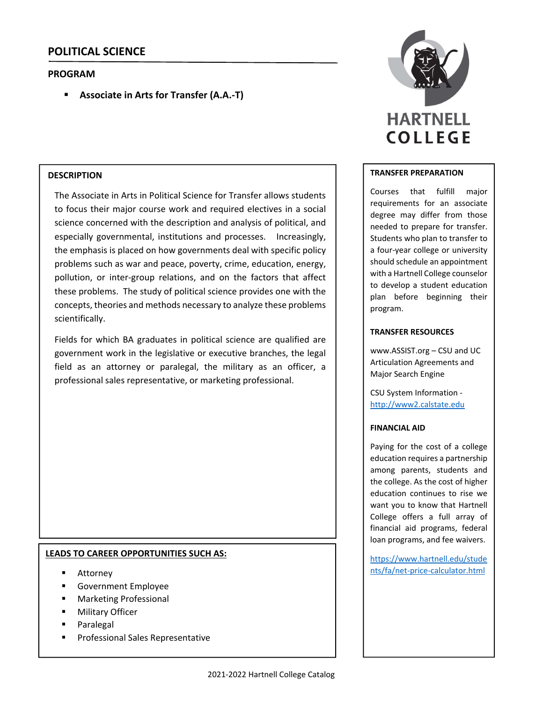# **POLITICAL SCIENCE**

# **PROGRAM**

**Associate in Arts for Transfer (A.A.‐T)**

# **DESCRIPTION**

The Associate in Arts in Political Science for Transfer allows students to focus their major course work and required electives in a social science concerned with the description and analysis of political, and especially governmental, institutions and processes. Increasingly, the emphasis is placed on how governments deal with specific policy problems such as war and peace, poverty, crime, education, energy, pollution, or inter-group relations, and on the factors that affect these problems. The study of political science provides one with the concepts, theories and methods necessary to analyze these problems scientifically.

Fields for which BA graduates in political science are qualified are government work in the legislative or executive branches, the legal field as an attorney or paralegal, the military as an officer, a professional sales representative, or marketing professional.

# **LEADS TO CAREER OPPORTUNITIES SUCH AS:**

- Attorney
- Government Employee
- Marketing Professional
- **•** Military Officer
- Paralegal
- **Professional Sales Representative**



#### **TRANSFER PREPARATION**

Courses that fulfill major requirements for an associate degree may differ from those needed to prepare for transfer. Students who plan to transfer to a four‐year college or university should schedule an appointment with a Hartnell College counselor to develop a student education plan before beginning their program.

#### **TRANSFER RESOURCES**

www.ASSIST.org – CSU and UC Articulation Agreements and Major Search Engine

CSU System Information ‐ http://www2.calstate.edu

#### **FINANCIAL AID**

Paying for the cost of a college education requires a partnership among parents, students and the college. As the cost of higher education continues to rise we want you to know that Hartnell College offers a full array of financial aid programs, federal loan programs, and fee waivers.

https://www.hartnell.edu/stude nts/fa/net‐price‐calculator.html